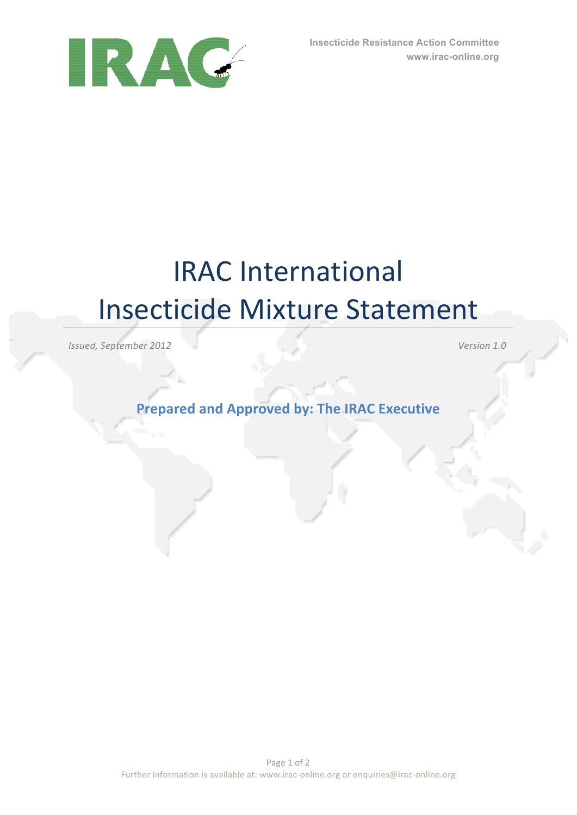

## **IRAC** International Insecticide Mixture Statement

*Issued, September 2012 Version 1.0*

**Prepared and Approved by: The IRAC Executive**